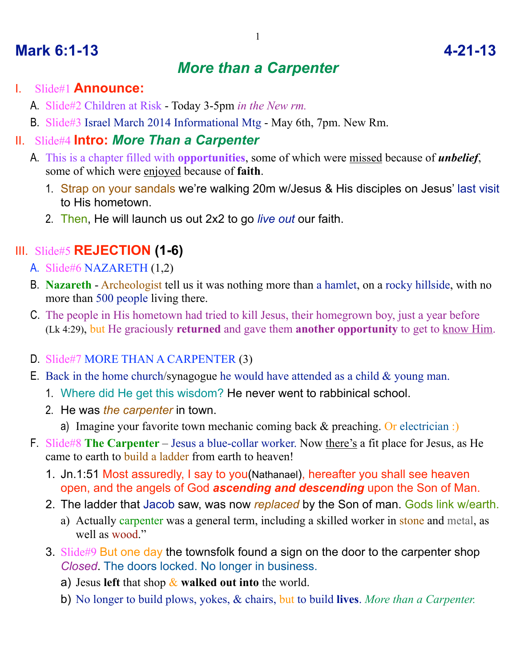# *More than a Carpenter*

#### I. Slide#1 **Announce:**

- A. Slide#2 Children at Risk Today 3-5pm *in the New rm.*
- B. Slide#3 Israel March 2014 Informational Mtg May 6th, 7pm. New Rm.

### II. Slide#4 **Intro:** *More Than a Carpenter*

- A. This is a chapter filled with **opportunities**, some of which were missed because of *unbelief*, some of which were enjoyed because of **faith**.
	- 1. Strap on your sandals we're walking 20m w/Jesus & His disciples on Jesus' last visit to His hometown.
	- 2. Then, He will launch us out 2x2 to go *live out* our faith.

## III. Slide#5 **REJECTION (1-6)**

- A. Slide#6 NAZARETH (1,2)
- B. **Nazareth** Archeologist tell us it was nothing more than a hamlet, on a rocky hillside, with no more than 500 people living there.
- C. The people in His hometown had tried to kill Jesus, their homegrown boy, just a year before (Lk 4:29), but He graciously **returned** and gave them **another opportunity** to get to know Him.
- D. Slide#7 MORE THAN A CARPENTER (3)
- E. Back in the home church/synagogue he would have attended as a child  $&\&$  young man.
	- 1. Where did He get this wisdom? He never went to rabbinical school.
	- 2. He was *the carpenter* in town.
		- a) Imagine your favorite town mechanic coming back & preaching. Or electrician :)
- F. Slide#8 **The Carpenter**  Jesus a blue-collar worker. Now there's a fit place for Jesus, as He came to earth to build a ladder from earth to heaven!
	- 1. Jn.1:51 Most assuredly, I say to you(Nathanael), hereafter you shall see heaven open, and the angels of God *ascending and descending* upon the Son of Man.
	- 2. The ladder that Jacob saw, was now *replaced* by the Son of man. Gods link w/earth.
		- a) Actually carpenter was a general term, including a skilled worker in stone and metal, as well as wood."
	- 3. Slide#9 But one day the townsfolk found a sign on the door to the carpenter shop *Closed*. The doors locked. No longer in business.
		- a) Jesus **left** that shop & **walked out into** the world.
		- b) No longer to build plows, yokes, & chairs, but to build **lives**. *More than a Carpenter.*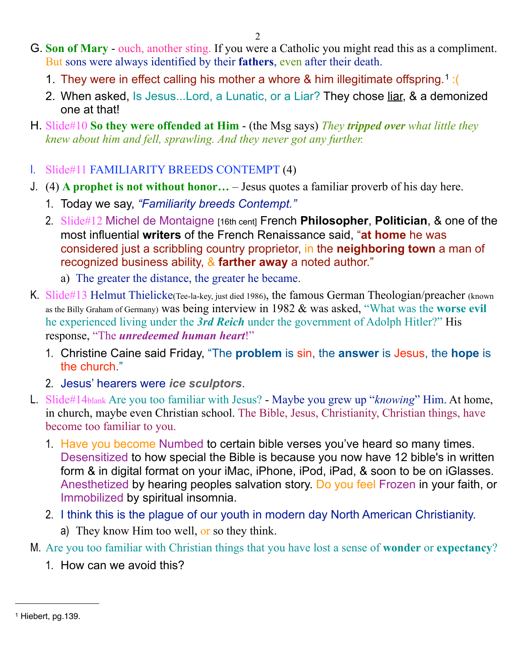- G. **Son of Mary**  ouch, another sting. If you were a Catholic you might read this as a compliment. But sons were always identified by their **fathers**, even after their death.
	- 1. They were in effect calling his mother a whore & him illegitimate offspring.[1](#page-1-0) :(
	- 2. When asked, Is Jesus...Lord, a Lunatic, or a Liar? They chose liar, & a demonized one at that!
- H. Slide#10 **So they were offended at Him** (the Msg says) *They tripped over what little they knew about him and fell, sprawling. And they never got any further.*
- I. Slide#11 FAMILIARITY BREEDS CONTEMPT (4)
- J. (4) **A prophet is not without honor…** Jesus quotes a familiar proverb of his day here.
	- 1. Today we say, *"Familiarity breeds Contempt."*
	- 2. Slide#12 Michel de Montaigne [16th cent] French **Philosopher**, **Politician**, & one of the most influential **writers** of the French Renaissance said, "**at home** he was considered just a scribbling country proprietor, in the **neighboring town** a man of recognized business ability, & **farther away** a noted author."
		- a) The greater the distance, the greater he became.
- K. Slide#13 Helmut Thielicke(Tee-la-key, just died 1986), the famous German Theologian/preacher (known as the Billy Graham of Germany) was being interview in 1982 & was asked, "What was the **worse evil** he experienced living under the *3rd Reich* under the government of Adolph Hitler?" His response, "The *unredeemed human heart*!"
	- 1. Christine Caine said Friday, "The **problem** is sin, the **answer** is Jesus, the **hope** is the church."
	- 2. Jesus' hearers were *ice sculptors*.
- L. Slide#14blank Are you too familiar with Jesus? Maybe you grew up "*knowing*" Him. At home, in church, maybe even Christian school. The Bible, Jesus, Christianity, Christian things, have become too familiar to you.
	- 1. Have you become Numbed to certain bible verses you've heard so many times. Desensitized to how special the Bible is because you now have 12 bible's in written form & in digital format on your iMac, iPhone, iPod, iPad, & soon to be on iGlasses. Anesthetized by hearing peoples salvation story. Do you feel Frozen in your faith, or Immobilized by spiritual insomnia.
	- 2. I think this is the plague of our youth in modern day North American Christianity.
		- a) They know Him too well, or so they think.
- M. Are you too familiar with Christian things that you have lost a sense of **wonder** or **expectancy**?
	- 1. How can we avoid this?

<span id="page-1-0"></span><sup>1</sup> Hiebert, pg.139.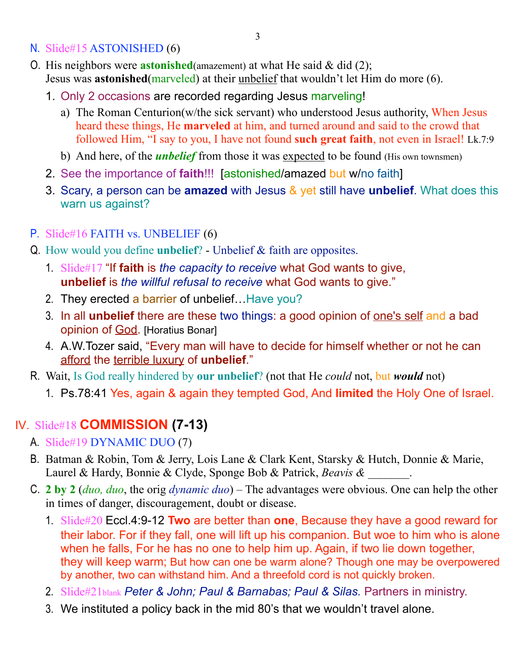- N. Slide#15 ASTONISHED (6)
- O. His neighbors were **astonished**(amazement) at what He said & did (2); Jesus was **astonished**(marveled) at their unbelief that wouldn't let Him do more (6).
	- 1. Only 2 occasions are recorded regarding Jesus marveling!
		- a) The Roman Centurion(w/the sick servant) who understood Jesus authority, When Jesus heard these things, He **marveled** at him, and turned around and said to the crowd that followed Him, "I say to you, I have not found **such great faith**, not even in Israel! Lk.7:9
		- b) And here, of the *unbelief* from those it was expected to be found (His own townsmen)
	- 2. See the importance of **faith**!!! [astonished/amazed but w/no faith]
	- 3. Scary, a person can be **amazed** with Jesus & yet still have **unbelief**. What does this warn us against?
- P. Slide#16 FAITH vs. UNBELIEF (6)
- Q. How would you define **unbelief**? Unbelief & faith are opposites.
	- 1. Slide#17 "If **faith** is *the capacity to receive* what God wants to give, **unbelief** is *the willful refusal to receive* what God wants to give."
	- 2. They erected a barrier of unbelief... Have you?
	- 3. In all **unbelief** there are these two things: a good opinion of one's self and a bad opinion of God. [Horatius Bonar]
	- 4. A.W.Tozer said, "Every man will have to decide for himself whether or not he can afford the terrible luxury of **unbelief**."
- R. Wait, Is God really hindered by **our unbelief**? (not that He *could* not, but *would* not)
	- 1. Ps.78:41 Yes, again & again they tempted God, And **limited** the Holy One of Israel.

## IV. Slide#18 **COMMISSION (7-13)**

- A. Slide#19 DYNAMIC DUO (7)
- B. Batman & Robin, Tom & Jerry, Lois Lane & Clark Kent, Starsky & Hutch, Donnie & Marie, Laurel & Hardy, Bonnie & Clyde, Sponge Bob & Patrick, *Beavis & \_\_\_\_\_\_\_*.
- C. **2 by 2** (*duo, duo*, the orig *dynamic duo*) The advantages were obvious. One can help the other in times of danger, discouragement, doubt or disease.
	- 1. Slide#20 Eccl.4:9-12 **Two** are better than **one**, Because they have a good reward for their labor. For if they fall, one will lift up his companion. But woe to him who is alone when he falls, For he has no one to help him up. Again, if two lie down together, they will keep warm; But how can one be warm alone? Though one may be overpowered by another, two can withstand him. And a threefold cord is not quickly broken.
	- 2. Slide#21blank *Peter & John; Paul & Barnabas; Paul & Silas.* Partners in ministry.
	- 3. We instituted a policy back in the mid 80's that we wouldn't travel alone.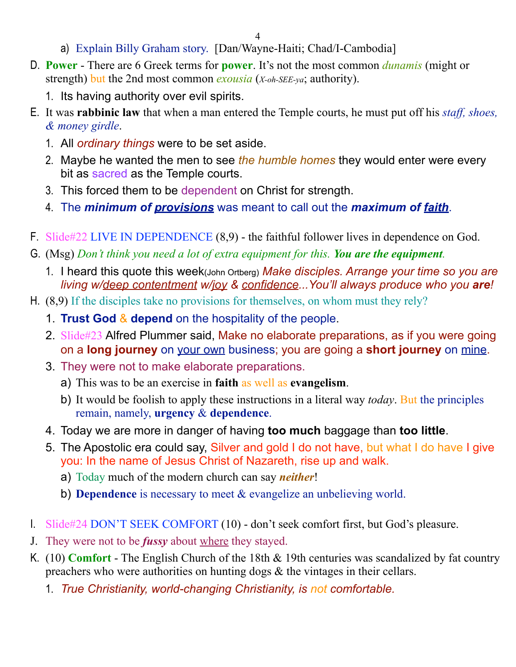4

- a) Explain Billy Graham story. [Dan/Wayne-Haiti; Chad/I-Cambodia]
- D. **Power** There are 6 Greek terms for **power**. It's not the most common *dunamis* (might or strength) but the 2nd most common *exousia* (*X-oh-SEE-ya*; authority).
	- 1. Its having authority over evil spirits.
- E. It was **rabbinic law** that when a man entered the Temple courts, he must put off his *staff, shoes, & money girdle*.
	- 1. All *ordinary things* were to be set aside.
	- 2. Maybe he wanted the men to see *the humble homes* they would enter were every bit as sacred as the Temple courts.
	- 3. This forced them to be dependent on Christ for strength.
	- 4. The *minimum of provisions* was meant to call out the *maximum of faith*.
- F. Slide#22 LIVE IN DEPENDENCE (8,9) the faithful follower lives in dependence on God.
- G. (Msg) *Don't think you need a lot of extra equipment for this. You are the equipment.*
	- 1. I heard this quote this week(John Ortberg) *Make disciples. Arrange your time so you are living w/deep contentment w/joy & confidence...You'll always produce who you are!*
- H. (8,9) If the disciples take no provisions for themselves, on whom must they rely?
	- 1. **Trust God** & **depend** on the hospitality of the people.
	- 2. Slide#23 Alfred Plummer said, Make no elaborate preparations, as if you were going on a **long journey** on your own business; you are going a **short journey** on mine.
	- 3. They were not to make elaborate preparations.
		- a) This was to be an exercise in **faith** as well as **evangelism**.
		- b) It would be foolish to apply these instructions in a literal way *today*. But the principles remain, namely, **urgency** & **dependence**.
	- 4. Today we are more in danger of having **too much** baggage than **too little**.
	- 5. The Apostolic era could say, Silver and gold I do not have, but what I do have I give you: In the name of Jesus Christ of Nazareth, rise up and walk.
		- a) Today much of the modern church can say *neither*!
		- b) **Dependence** is necessary to meet & evangelize an unbelieving world.
- I. Slide#24 DON'T SEEK COMFORT (10) don't seek comfort first, but God's pleasure.
- J. They were not to be *fussy* about where they stayed.
- K. (10) **Comfort** The English Church of the 18th & 19th centuries was scandalized by fat country preachers who were authorities on hunting dogs & the vintages in their cellars.
	- 1. *True Christianity, world-changing Christianity, is not comfortable.*